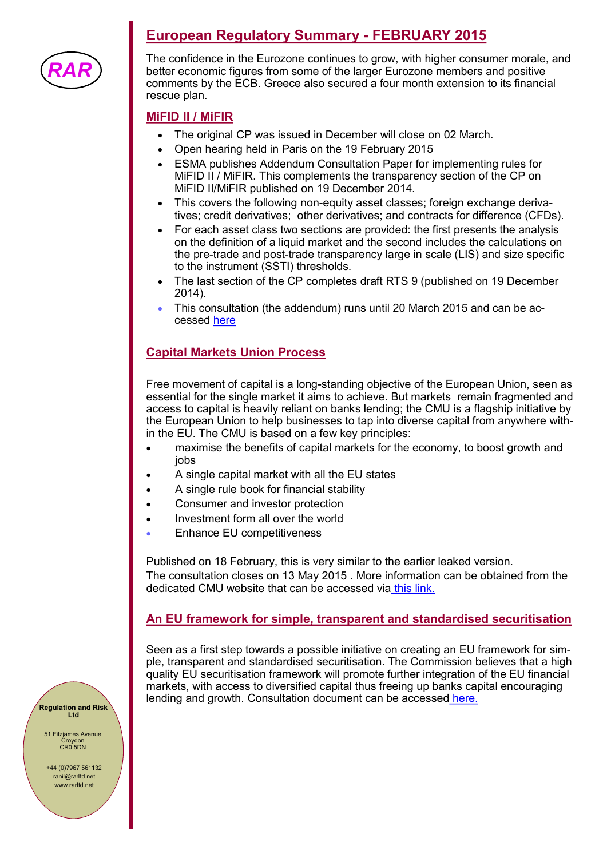

# **European Regulatory Summary - FEBRUARY 2015**

The confidence in the Eurozone continues to grow, with higher consumer morale, and better economic figures from some of the larger Eurozone members and positive comments by the ECB. Greece also secured a four month extension to its financial rescue plan.

#### **MiFID II / MiFIR**

- The original CP was issued in December will close on 02 March.
- Open hearing held in Paris on the 19 February 2015
- ESMA publishes Addendum Consultation Paper for implementing rules for MiFID II / MiFIR. This complements the transparency section of the CP on MiFID II/MiFIR published on 19 December 2014.
- This covers the following non-equity asset classes; foreign exchange derivatives; credit derivatives; other derivatives; and contracts for difference (CFDs).
- For each asset class two sections are provided: the first presents the analysis on the definition of a liquid market and the second includes the calculations on the pre-trade and post-trade transparency large in scale (LIS) and size specific to the instrument (SSTI) thresholds.
- The last section of the CP completes draft RTS 9 (published on 19 December 2014).
- This consultation (the addendum) runs until 20 March 2015 and can be accessed [here](http://www.esma.europa.eu/content/Addendum-Consultation-Paper-MiFID-IIMiFIR)

#### **Capital Markets Union Process**

Free movement of capital is a long-standing objective of the European Union, seen as essential for the single market it aims to achieve. But markets remain fragmented and access to capital is heavily reliant on banks lending; the CMU is a flagship initiative by the European Union to help businesses to tap into diverse capital from anywhere within the EU. The CMU is based on a few key principles:

- maximise the benefits of capital markets for the economy, to boost growth and jobs
- A single capital market with all the EU states
- x A single rule book for financial stability
- Consumer and investor protection
- Investment form all over the world
- Enhance EU competitiveness

Published on 18 February, this is very similar to the earlier leaked version. The consultation closes on 13 May 2015 . More information can be obtained from the dedicated CMU website that can be accessed via [this link.](http://ec.europa.eu/finance/capital-markets-union/index_en.htm)

#### **An EU framework for simple, transparent and standardised securitisation**

Seen as a first step towards a possible initiative on creating an EU framework for simple, transparent and standardised securitisation. The Commission believes that a high quality EU securitisation framework will promote further integration of the EU financial markets, with access to diversified capital thus freeing up banks capital encouraging lending and growth. Consultation document can be accessed [here.](http://ec.europa.eu/finance/consultations/2015/securitisation/docs/consultation-document_en.pdf)

**Regulation and Risk Ltd**

51 Fitzjames Avenue Croydon CR0 5DN

+44 (0)7967 561132 ranil@rarltd.net www.rarltd.net